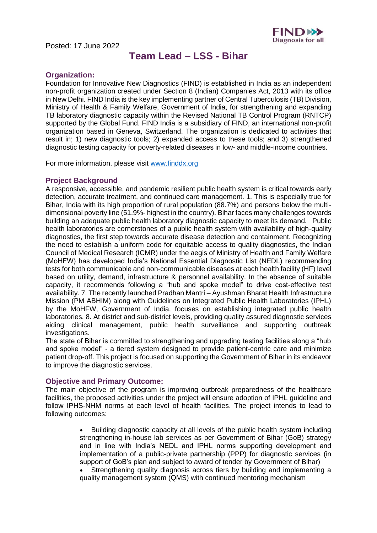Posted: 17 June 2022



# **Team Lead – LSS - Bihar**

## **Organization:**

Foundation for Innovative New Diagnostics (FIND) is established in India as an independent non-profit organization created under Section 8 (Indian) Companies Act, 2013 with its office in New Delhi. FIND India is the key implementing partner of Central Tuberculosis (TB) Division, Ministry of Health & Family Welfare, Government of India, for strengthening and expanding TB laboratory diagnostic capacity within the Revised National TB Control Program (RNTCP) supported by the Global Fund. FIND India is a subsidiary of FIND, an international non-profit organization based in Geneva, Switzerland. The organization is dedicated to activities that result in; 1) new diagnostic tools; 2) expanded access to these tools; and 3) strengthened diagnostic testing capacity for poverty-related diseases in low- and middle-income countries.

For more information, please visit [www.finddx.org](http://www.finddx.org/)

## **Project Background**

A responsive, accessible, and pandemic resilient public health system is critical towards early detection, accurate treatment, and continued care management. 1. This is especially true for Bihar, India with its high proportion of rural population (88.7%) and persons below the multidimensional poverty line (51.9%- highest in the country). Bihar faces many challenges towards building an adequate public health laboratory diagnostic capacity to meet its demand. Public health laboratories are cornerstones of a public health system with availability of high-quality diagnostics, the first step towards accurate disease detection and containment. Recognizing the need to establish a uniform code for equitable access to quality diagnostics, the Indian Council of Medical Research (ICMR) under the aegis of Ministry of Health and Family Welfare (MoHFW) has developed India's National Essential Diagnostic List (NEDL) recommending tests for both communicable and non-communicable diseases at each health facility (HF) level based on utility, demand, infrastructure & personnel availability. In the absence of suitable capacity, it recommends following a "hub and spoke model" to drive cost-effective test availability. 7. The recently launched Pradhan Mantri – Ayushman Bharat Health Infrastructure Mission (PM ABHIM) along with Guidelines on Integrated Public Health Laboratories (IPHL) by the MoHFW, Government of India, focuses on establishing integrated public health laboratories. 8. At district and sub-district levels, providing quality assured diagnostic services aiding clinical management, public health surveillance and supporting outbreak investigations.

The state of Bihar is committed to strengthening and upgrading testing facilities along a "hub and spoke model" - a tiered system designed to provide patient-centric care and minimize patient drop-off. This project is focused on supporting the Government of Bihar in its endeavor to improve the diagnostic services.

### **Objective and Primary Outcome:**

The main objective of the program is improving outbreak preparedness of the healthcare facilities, the proposed activities under the project will ensure adoption of IPHL guideline and follow IPHS-NHM norms at each level of health facilities. The project intends to lead to following outcomes:

- Building diagnostic capacity at all levels of the public health system including strengthening in-house lab services as per Government of Bihar (GoB) strategy and in line with India's NEDL and IPHL norms supporting development and implementation of a public-private partnership (PPP) for diagnostic services (in support of GoB's plan and subject to award of tender by Government of Bihar)
- Strengthening quality diagnosis across tiers by building and implementing a quality management system (QMS) with continued mentoring mechanism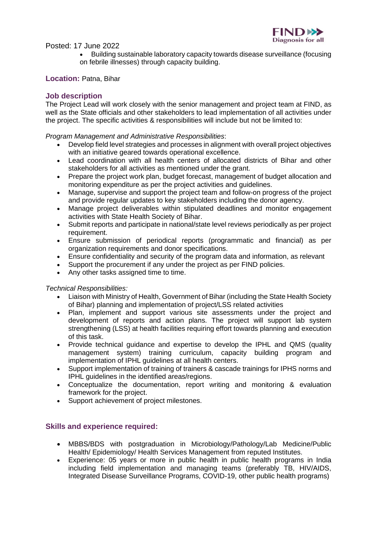

Posted: 17 June 2022

• Building sustainable laboratory capacity towards disease surveillance (focusing on febrile illnesses) through capacity building.

### **Location:** Patna, Bihar

## **Job description**

The Project Lead will work closely with the senior management and project team at FIND, as well as the State officials and other stakeholders to lead implementation of all activities under the project. The specific activities & responsibilities will include but not be limited to:

*Program Management and Administrative Responsibilities*:

- Develop field level strategies and processes in alignment with overall project objectives with an initiative geared towards operational excellence.
- Lead coordination with all health centers of allocated districts of Bihar and other stakeholders for all activities as mentioned under the grant.
- Prepare the project work plan, budget forecast, management of budget allocation and monitoring expenditure as per the project activities and guidelines.
- Manage, supervise and support the project team and follow-on progress of the project and provide regular updates to key stakeholders including the donor agency.
- Manage project deliverables within stipulated deadlines and monitor engagement activities with State Health Society of Bihar.
- Submit reports and participate in national/state level reviews periodically as per project requirement.
- Ensure submission of periodical reports (programmatic and financial) as per organization requirements and donor specifications.
- Ensure confidentiality and security of the program data and information, as relevant
- Support the procurement if any under the project as per FIND policies.
- Any other tasks assigned time to time.

*Technical Responsibilities:*

- Liaison with Ministry of Health, Government of Bihar (including the State Health Society of Bihar) planning and implementation of project/LSS related activities
- Plan, implement and support various site assessments under the project and development of reports and action plans. The project will support lab system strengthening (LSS) at health facilities requiring effort towards planning and execution of this task.
- Provide technical guidance and expertise to develop the IPHL and QMS (quality management system) training curriculum, capacity building program and implementation of IPHL guidelines at all health centers.
- Support implementation of training of trainers & cascade trainings for IPHS norms and IPHL guidelines in the identified areas/regions.
- Conceptualize the documentation, report writing and monitoring & evaluation framework for the project.
- Support achievement of project milestones.

### **Skills and experience required:**

- MBBS/BDS with postgraduation in Microbiology/Pathology/Lab Medicine/Public Health/ Epidemiology/ Health Services Management from reputed Institutes.
- Experience: 05 years or more in public health in public health programs in India including field implementation and managing teams (preferably TB, HIV/AIDS, Integrated Disease Surveillance Programs, COVID-19, other public health programs)